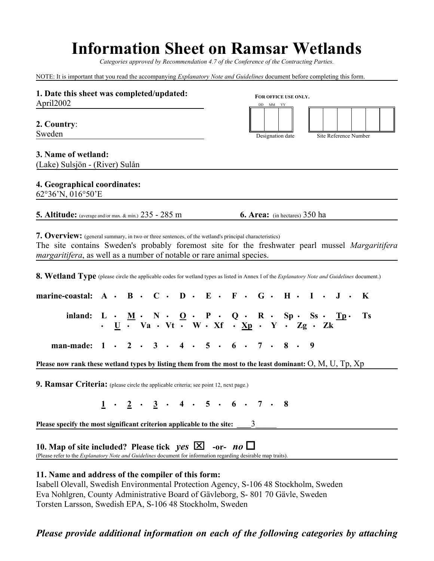# **Information Sheet on Ramsar Wetlands**

*Categories approved by Recommendation 4.7 of the Conference of the Contracting Parties.*

NOTE: It is important that you read the accompanying *Explanatory Note and Guidelines* document before completing this form.

| 1. Date this sheet was completed/updated:<br>April2002                                                                                                                                                                                                                                                                                                                                                                                    |  |  |  |  |  |  |  |  |  | FOR OFFICE USE ONLY.<br>$DD$ $\quad$ MM $\quad$ YY |  |                                                     |  |  |                  |  |  |  |                       |  |              |  |
|-------------------------------------------------------------------------------------------------------------------------------------------------------------------------------------------------------------------------------------------------------------------------------------------------------------------------------------------------------------------------------------------------------------------------------------------|--|--|--|--|--|--|--|--|--|----------------------------------------------------|--|-----------------------------------------------------|--|--|------------------|--|--|--|-----------------------|--|--------------|--|
| 2. Country:<br>Sweden                                                                                                                                                                                                                                                                                                                                                                                                                     |  |  |  |  |  |  |  |  |  |                                                    |  |                                                     |  |  | Designation date |  |  |  | Site Reference Number |  |              |  |
| 3. Name of wetland:<br>(Lake) Sulsjön - (River) Sulån                                                                                                                                                                                                                                                                                                                                                                                     |  |  |  |  |  |  |  |  |  |                                                    |  |                                                     |  |  |                  |  |  |  |                       |  |              |  |
| 4. Geographical coordinates:<br>62°36'N, 016°50'E                                                                                                                                                                                                                                                                                                                                                                                         |  |  |  |  |  |  |  |  |  |                                                    |  |                                                     |  |  |                  |  |  |  |                       |  |              |  |
| <b>5. Altitude:</b> (average and/or max. & min.) 235 - 285 m                                                                                                                                                                                                                                                                                                                                                                              |  |  |  |  |  |  |  |  |  |                                                    |  | <b>6. Area:</b> (in hectares) 350 ha                |  |  |                  |  |  |  |                       |  |              |  |
| 7. Overview: (general summary, in two or three sentences, of the wetland's principal characteristics)<br>The site contains Sweden's probably foremost site for the freshwater pearl mussel Margaritifera<br><i>margaritifera</i> , as well as a number of notable or rare animal species.<br>8. Wetland Type (please circle the applicable codes for wetland types as listed in Annex I of the Explanatory Note and Guidelines document.) |  |  |  |  |  |  |  |  |  |                                                    |  |                                                     |  |  |                  |  |  |  |                       |  |              |  |
| marine-coastal: $A \cdot B \cdot C \cdot D \cdot E \cdot F \cdot G \cdot H \cdot I \cdot J \cdot$                                                                                                                                                                                                                                                                                                                                         |  |  |  |  |  |  |  |  |  |                                                    |  |                                                     |  |  |                  |  |  |  |                       |  | $\mathbf{K}$ |  |
| inland: $L \cdot \underline{M} \cdot \underline{N} \cdot \underline{O} \cdot P \cdot Q \cdot R \cdot Sp \cdot Ss \cdot \underline{Tp} \cdot$<br>$\cdot \underline{U} \cdot \underline{U} \cdot \underline{V}a \cdot Vt \cdot \underline{N} \cdot \underline{X}f \cdot \underline{X}p \cdot Y \cdot \underline{Z}g \cdot \underline{Z}k$                                                                                                   |  |  |  |  |  |  |  |  |  |                                                    |  |                                                     |  |  |                  |  |  |  |                       |  | <b>Ts</b>    |  |
| man-made: 1 · 2 · 3 · 4 · 5 · 6 · 7 · 8 · 9                                                                                                                                                                                                                                                                                                                                                                                               |  |  |  |  |  |  |  |  |  |                                                    |  |                                                     |  |  |                  |  |  |  |                       |  |              |  |
| Please now rank these wetland types by listing them from the most to the least dominant: $O, M, U, Tp, Xp$                                                                                                                                                                                                                                                                                                                                |  |  |  |  |  |  |  |  |  |                                                    |  |                                                     |  |  |                  |  |  |  |                       |  |              |  |
| 9. Ramsar Criteria: (please circle the applicable criteria; see point 12, next page.)                                                                                                                                                                                                                                                                                                                                                     |  |  |  |  |  |  |  |  |  |                                                    |  |                                                     |  |  |                  |  |  |  |                       |  |              |  |
|                                                                                                                                                                                                                                                                                                                                                                                                                                           |  |  |  |  |  |  |  |  |  |                                                    |  | $1 \cdot 2 \cdot 3 \cdot 4 \cdot 5 \cdot 6 \cdot 7$ |  |  |                  |  |  |  |                       |  |              |  |
| Please specify the most significant criterion applicable to the site:                                                                                                                                                                                                                                                                                                                                                                     |  |  |  |  |  |  |  |  |  |                                                    |  | 3                                                   |  |  |                  |  |  |  |                       |  |              |  |
| 10. Map of site included? Please tick $yes \times 1$<br>(Please refer to the <i>Explanatory Note and Guidelines</i> document for information regarding desirable map traits).                                                                                                                                                                                                                                                             |  |  |  |  |  |  |  |  |  |                                                    |  | -or- $no \Box$                                      |  |  |                  |  |  |  |                       |  |              |  |
| 11. Name and address of the compiler of this form:<br>Isabell Olevall, Swedish Environmental Protection Agency, S-106 48 Stockholm, Sweden                                                                                                                                                                                                                                                                                                |  |  |  |  |  |  |  |  |  |                                                    |  | $P = 1$ $C_1 = 11$ $R = 0.0170 C_1 = 1$ $R = 1$     |  |  |                  |  |  |  |                       |  |              |  |

Eva Nohlgren, County Administrative Board of Gävleborg, S- 801 70 Gävle, Sweden

Torsten Larsson, Swedish EPA, S-106 48 Stockholm, Sweden

# *Please provide additional information on each of the following categories by attaching*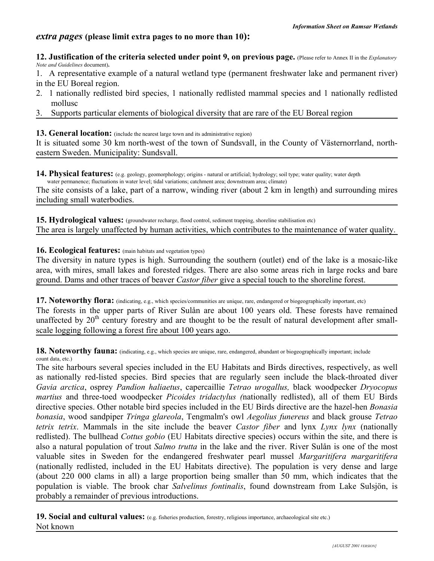## *extra pages* **(please limit extra pages to no more than 10):**

**12. Justification of the criteria selected under point 9, on previous page.** (Please refer to Annex II in the *Explanatory Note and Guidelines* document)**.**

1. A representative example of a natural wetland type (permanent freshwater lake and permanent river) in the EU Boreal region.

- 2. 1 nationally redlisted bird species, 1 nationally redlisted mammal species and 1 nationally redlisted mollusc
- 3. Supports particular elements of biological diversity that are rare of the EU Boreal region

#### **13. General location:** (include the nearest large town and its administrative region)

It is situated some 30 km north-west of the town of Sundsvall, in the County of Västernorrland, northeastern Sweden. Municipality: Sundsvall.

14. Physical features: (e.g. geology, geomorphology; origins - natural or artificial; hydrology; soil type; water quality; water depth water permanence; fluctuations in water level; tidal variations; catchment area; downstream area; climate)

The site consists of a lake, part of a narrow, winding river (about 2 km in length) and surrounding mires including small waterbodies.

**15. Hydrological values:** (groundwater recharge, flood control, sediment trapping, shoreline stabilisation etc) The area is largely unaffected by human activities, which contributes to the maintenance of water quality.

#### **16. Ecological features:** (main habitats and vegetation types)

The diversity in nature types is high. Surrounding the southern (outlet) end of the lake is a mosaic-like area, with mires, small lakes and forested ridges. There are also some areas rich in large rocks and bare ground. Dams and other traces of beaver *Castor fiber* give a special touch to the shoreline forest.

**17. Noteworthy flora:** (indicating, e.g., which species/communities are unique, rare, endangered or biogeographically important, etc) The forests in the upper parts of River Sulån are about 100 years old. These forests have remained unaffected by 20<sup>th</sup> century forestry and are thought to be the result of natural development after smallscale logging following a forest fire about 100 years ago.

**18. Noteworthy fauna:** (indicating, e.g., which species are unique, rare, endangered, abundant or biogeographically important; include count data, etc.)

The site harbours several species included in the EU Habitats and Birds directives, respectively, as well as nationally red-listed species. Bird species that are regularly seen include the black-throated diver *Gavia arctica*, osprey *Pandion haliaetus*, capercaillie *Tetrao urogallus,* black woodpecker *Dryocopus martius* and three-toed woodpecker *Picoides tridactylus (*nationally redlisted), all of them EU Birds directive species. Other notable bird species included in the EU Birds directive are the hazel-hen *Bonasia bonasia*, wood sandpiper *Tringa glareola*, Tengmalm's owl *Aegolius funereus* and black grouse *Tetrao tetrix tetrix*. Mammals in the site include the beaver *Castor fiber* and lynx *Lynx lynx* (nationally redlisted). The bullhead *Cottus gobio* (EU Habitats directive species) occurs within the site, and there is also a natural population of trout *Salmo trutta* in the lake and the river. River Sulån is one of the most valuable sites in Sweden for the endangered freshwater pearl mussel *Margaritifera margaritifera* (nationally redlisted, included in the EU Habitats directive). The population is very dense and large (about 220 000 clams in all) a large proportion being smaller than 50 mm, which indicates that the population is viable. The brook char *Salvelinus fontinalis*, found downstream from Lake Sulsjön, is probably a remainder of previous introductions.

19. Social and cultural values: (e.g. fisheries production, forestry, religious importance, archaeological site etc.) Not known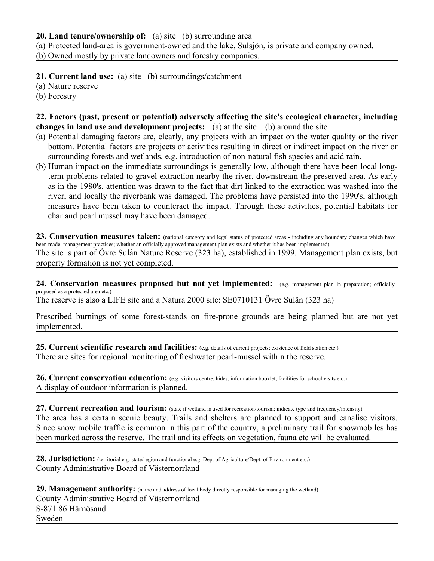### **20. Land tenure/ownership of:** (a) site (b) surrounding area

(a) Protected land-area is government-owned and the lake, Sulsjön, is private and company owned.

(b) Owned mostly by private landowners and forestry companies.

**21. Current land use:** (a) site (b) surroundings/catchment

- (a) Nature reserve
- (b) Forestry

**22. Factors (past, present or potential) adversely affecting the site's ecological character, including changes in land use and development projects:** (a) at the site (b) around the site

- (a) Potential damaging factors are, clearly, any projects with an impact on the water quality or the river bottom. Potential factors are projects or activities resulting in direct or indirect impact on the river or surrounding forests and wetlands, e.g. introduction of non-natural fish species and acid rain.
- (b) Human impact on the immediate surroundings is generally low, although there have been local longterm problems related to gravel extraction nearby the river, downstream the preserved area. As early as in the 1980's, attention was drawn to the fact that dirt linked to the extraction was washed into the river, and locally the riverbank was damaged. The problems have persisted into the 1990's, although measures have been taken to counteract the impact. Through these activities, potential habitats for char and pearl mussel may have been damaged.

23. Conservation measures taken: (national category and legal status of protected areas - including any boundary changes which have been made: management practices; whether an officially approved management plan exists and whether it has been implemented) The site is part of Övre Sulån Nature Reserve (323 ha), established in 1999. Management plan exists, but property formation is not yet completed.

**24. Conservation measures proposed but not yet implemented:** (e.g. management plan in preparation; officially proposed as a protected area etc.)

The reserve is also a LIFE site and a Natura 2000 site: SE0710131 Övre Sulån (323 ha)

Prescribed burnings of some forest-stands on fire-prone grounds are being planned but are not yet implemented.

**25. Current scientific research and facilities:** (e.g. details of current projects; existence of field station etc.) There are sites for regional monitoring of freshwater pearl-mussel within the reserve.

26. Current conservation education: (e.g. visitors centre, hides, information booklet, facilities for school visits etc.) A display of outdoor information is planned.

27. Current recreation and tourism: (state if wetland is used for recreation/tourism; indicate type and frequency/intensity) The area has a certain scenic beauty. Trails and shelters are planned to support and canalise visitors. Since snow mobile traffic is common in this part of the country, a preliminary trail for snowmobiles has been marked across the reserve. The trail and its effects on vegetation, fauna etc will be evaluated.

28. Jurisdiction: (territorial e.g. state/region and functional e.g. Dept of Agriculture/Dept. of Environment etc.) County Administrative Board of Västernorrland

29. Management authority: (name and address of local body directly responsible for managing the wetland) County Administrative Board of Västernorrland S-871 86 Härnösand Sweden